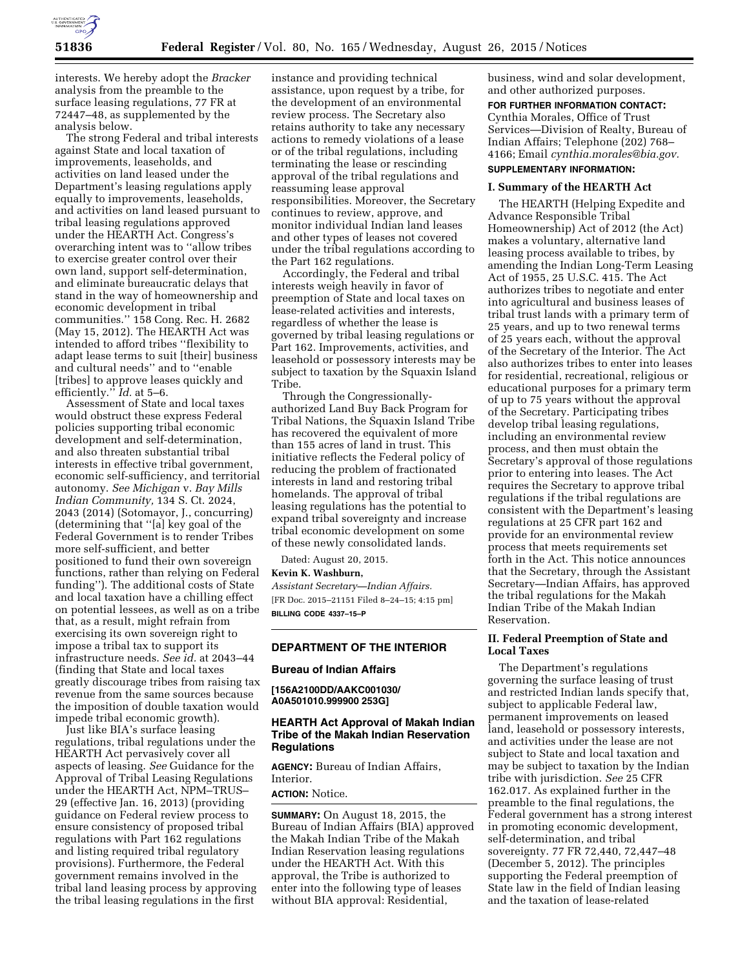

interests. We hereby adopt the *Bracker*  analysis from the preamble to the surface leasing regulations, 77 FR at 72447–48, as supplemented by the analysis below.

The strong Federal and tribal interests against State and local taxation of improvements, leaseholds, and activities on land leased under the Department's leasing regulations apply equally to improvements, leaseholds, and activities on land leased pursuant to tribal leasing regulations approved under the HEARTH Act. Congress's overarching intent was to ''allow tribes to exercise greater control over their own land, support self-determination, and eliminate bureaucratic delays that stand in the way of homeownership and economic development in tribal communities.'' 158 Cong. Rec. H. 2682 (May 15, 2012). The HEARTH Act was intended to afford tribes ''flexibility to adapt lease terms to suit [their] business and cultural needs'' and to ''enable [tribes] to approve leases quickly and efficiently.'' *Id.* at 5–6.

Assessment of State and local taxes would obstruct these express Federal policies supporting tribal economic development and self-determination, and also threaten substantial tribal interests in effective tribal government, economic self-sufficiency, and territorial autonomy. *See Michigan* v. *Bay Mills Indian Community,* 134 S. Ct. 2024, 2043 (2014) (Sotomayor, J., concurring) (determining that ''[a] key goal of the Federal Government is to render Tribes more self-sufficient, and better positioned to fund their own sovereign functions, rather than relying on Federal funding''). The additional costs of State and local taxation have a chilling effect on potential lessees, as well as on a tribe that, as a result, might refrain from exercising its own sovereign right to impose a tribal tax to support its infrastructure needs. *See id.* at 2043–44 (finding that State and local taxes greatly discourage tribes from raising tax revenue from the same sources because the imposition of double taxation would impede tribal economic growth).

Just like BIA's surface leasing regulations, tribal regulations under the HEARTH Act pervasively cover all aspects of leasing. *See* Guidance for the Approval of Tribal Leasing Regulations under the HEARTH Act, NPM–TRUS– 29 (effective Jan. 16, 2013) (providing guidance on Federal review process to ensure consistency of proposed tribal regulations with Part 162 regulations and listing required tribal regulatory provisions). Furthermore, the Federal government remains involved in the tribal land leasing process by approving the tribal leasing regulations in the first

instance and providing technical assistance, upon request by a tribe, for the development of an environmental review process. The Secretary also retains authority to take any necessary actions to remedy violations of a lease or of the tribal regulations, including terminating the lease or rescinding approval of the tribal regulations and reassuming lease approval responsibilities. Moreover, the Secretary continues to review, approve, and monitor individual Indian land leases and other types of leases not covered under the tribal regulations according to the Part 162 regulations.

Accordingly, the Federal and tribal interests weigh heavily in favor of preemption of State and local taxes on lease-related activities and interests, regardless of whether the lease is governed by tribal leasing regulations or Part 162. Improvements, activities, and leasehold or possessory interests may be subject to taxation by the Squaxin Island Tribe.

Through the Congressionallyauthorized Land Buy Back Program for Tribal Nations, the Squaxin Island Tribe has recovered the equivalent of more than 155 acres of land in trust. This initiative reflects the Federal policy of reducing the problem of fractionated interests in land and restoring tribal homelands. The approval of tribal leasing regulations has the potential to expand tribal sovereignty and increase tribal economic development on some of these newly consolidated lands.

Dated: August 20, 2015.

### **Kevin K. Washburn,**

*Assistant Secretary—Indian Affairs.*  [FR Doc. 2015–21151 Filed 8–24–15; 4:15 pm] **BILLING CODE 4337–15–P** 

### **DEPARTMENT OF THE INTERIOR**

### **Bureau of Indian Affairs**

**[156A2100DD/AAKC001030/ A0A501010.999900 253G]** 

## **HEARTH Act Approval of Makah Indian Tribe of the Makah Indian Reservation Regulations**

**AGENCY:** Bureau of Indian Affairs, Interior.

**ACTION:** Notice.

**SUMMARY:** On August 18, 2015, the Bureau of Indian Affairs (BIA) approved the Makah Indian Tribe of the Makah Indian Reservation leasing regulations under the HEARTH Act. With this approval, the Tribe is authorized to enter into the following type of leases without BIA approval: Residential,

business, wind and solar development, and other authorized purposes.

## **FOR FURTHER INFORMATION CONTACT:**  Cynthia Morales, Office of Trust Services—Division of Realty, Bureau of Indian Affairs; Telephone (202) 768– 4166; Email *[cynthia.morales@bia.gov.](mailto:cynthia.morales@bia.gov)*  **SUPPLEMENTARY INFORMATION:**

# **I. Summary of the HEARTH Act**

The HEARTH (Helping Expedite and Advance Responsible Tribal Homeownership) Act of 2012 (the Act) makes a voluntary, alternative land leasing process available to tribes, by amending the Indian Long-Term Leasing Act of 1955, 25 U.S.C. 415. The Act authorizes tribes to negotiate and enter into agricultural and business leases of tribal trust lands with a primary term of 25 years, and up to two renewal terms of 25 years each, without the approval of the Secretary of the Interior. The Act also authorizes tribes to enter into leases for residential, recreational, religious or educational purposes for a primary term of up to 75 years without the approval of the Secretary. Participating tribes develop tribal leasing regulations, including an environmental review process, and then must obtain the Secretary's approval of those regulations prior to entering into leases. The Act requires the Secretary to approve tribal regulations if the tribal regulations are consistent with the Department's leasing regulations at 25 CFR part 162 and provide for an environmental review process that meets requirements set forth in the Act. This notice announces that the Secretary, through the Assistant Secretary—Indian Affairs, has approved the tribal regulations for the Makah Indian Tribe of the Makah Indian Reservation.

## **II. Federal Preemption of State and Local Taxes**

The Department's regulations governing the surface leasing of trust and restricted Indian lands specify that, subject to applicable Federal law, permanent improvements on leased land, leasehold or possessory interests, and activities under the lease are not subject to State and local taxation and may be subject to taxation by the Indian tribe with jurisdiction. *See* 25 CFR 162.017. As explained further in the preamble to the final regulations, the Federal government has a strong interest in promoting economic development, self-determination, and tribal sovereignty. 77 FR 72,440, 72,447–48 (December 5, 2012). The principles supporting the Federal preemption of State law in the field of Indian leasing and the taxation of lease-related